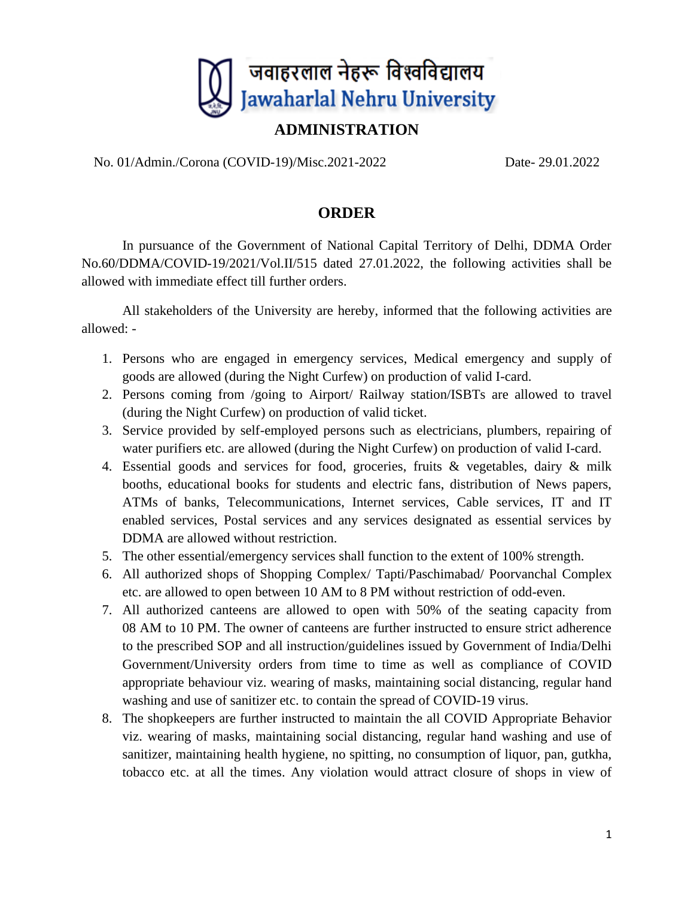

## **ADMINISTRATION**

No. 01/Admin./Corona (COVID-19)/Misc.2021-2022 Date- 29.01.2022

## **ORDER**

In pursuance of the Government of National Capital Territory of Delhi, DDMA Order No.60/DDMA/COVID-19/2021/Vol.II/515 dated 27.01.2022, the following activities shall be allowed with immediate effect till further orders.

All stakeholders of the University are hereby, informed that the following activities are allowed: -

- 1. Persons who are engaged in emergency services, Medical emergency and supply of goods are allowed (during the Night Curfew) on production of valid I-card.
- 2. Persons coming from /going to Airport/ Railway station/ISBTs are allowed to travel (during the Night Curfew) on production of valid ticket.
- 3. Service provided by self-employed persons such as electricians, plumbers, repairing of water purifiers etc. are allowed (during the Night Curfew) on production of valid I-card.
- 4. Essential goods and services for food, groceries, fruits & vegetables, dairy & milk booths, educational books for students and electric fans, distribution of News papers, ATMs of banks, Telecommunications, Internet services, Cable services, IT and IT enabled services, Postal services and any services designated as essential services by DDMA are allowed without restriction.
- 5. The other essential/emergency services shall function to the extent of 100% strength.
- 6. All authorized shops of Shopping Complex/ Tapti/Paschimabad/ Poorvanchal Complex etc. are allowed to open between 10 AM to 8 PM without restriction of odd-even.
- 7. All authorized canteens are allowed to open with 50% of the seating capacity from 08 AM to 10 PM. The owner of canteens are further instructed to ensure strict adherence to the prescribed SOP and all instruction/guidelines issued by Government of India/Delhi Government/University orders from time to time as well as compliance of COVID appropriate behaviour viz. wearing of masks, maintaining social distancing, regular hand washing and use of sanitizer etc. to contain the spread of COVID-19 virus.
- 8. The shopkeepers are further instructed to maintain the all COVID Appropriate Behavior viz. wearing of masks, maintaining social distancing, regular hand washing and use of sanitizer, maintaining health hygiene, no spitting, no consumption of liquor, pan, gutkha, tobacco etc. at all the times. Any violation would attract closure of shops in view of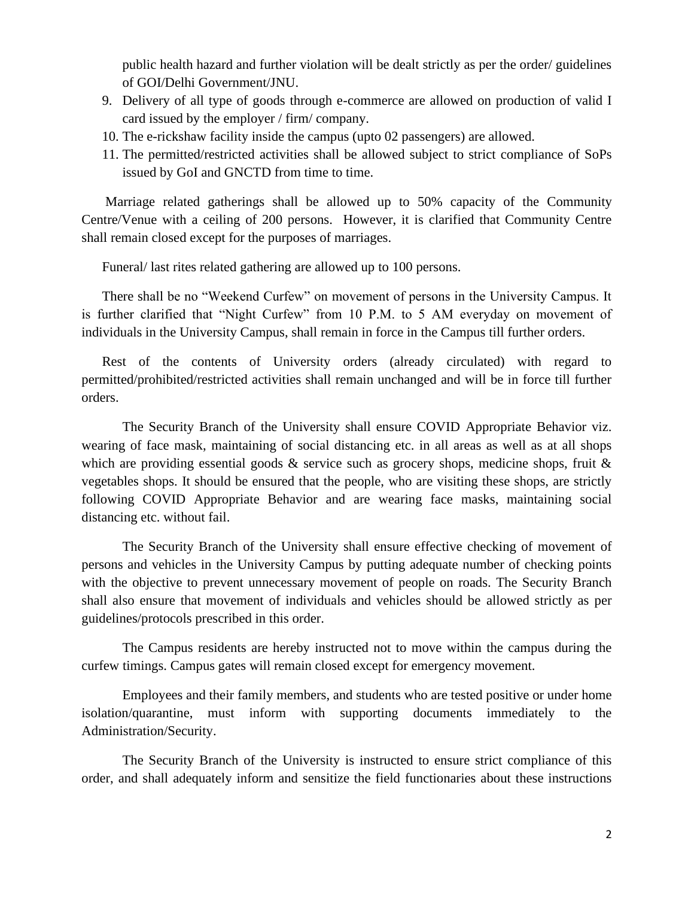public health hazard and further violation will be dealt strictly as per the order/ guidelines of GOI/Delhi Government/JNU.

- 9. Delivery of all type of goods through e-commerce are allowed on production of valid I card issued by the employer / firm/ company.
- 10. The e-rickshaw facility inside the campus (upto 02 passengers) are allowed.
- 11. The permitted/restricted activities shall be allowed subject to strict compliance of SoPs issued by GoI and GNCTD from time to time.

Marriage related gatherings shall be allowed up to 50% capacity of the Community Centre/Venue with a ceiling of 200 persons. However, it is clarified that Community Centre shall remain closed except for the purposes of marriages.

Funeral/ last rites related gathering are allowed up to 100 persons.

There shall be no "Weekend Curfew" on movement of persons in the University Campus. It is further clarified that "Night Curfew" from 10 P.M. to 5 AM everyday on movement of individuals in the University Campus, shall remain in force in the Campus till further orders.

Rest of the contents of University orders (already circulated) with regard to permitted/prohibited/restricted activities shall remain unchanged and will be in force till further orders.

The Security Branch of the University shall ensure COVID Appropriate Behavior viz. wearing of face mask, maintaining of social distancing etc. in all areas as well as at all shops which are providing essential goods  $\&$  service such as grocery shops, medicine shops, fruit  $\&$ vegetables shops. It should be ensured that the people, who are visiting these shops, are strictly following COVID Appropriate Behavior and are wearing face masks, maintaining social distancing etc. without fail.

The Security Branch of the University shall ensure effective checking of movement of persons and vehicles in the University Campus by putting adequate number of checking points with the objective to prevent unnecessary movement of people on roads. The Security Branch shall also ensure that movement of individuals and vehicles should be allowed strictly as per guidelines/protocols prescribed in this order.

The Campus residents are hereby instructed not to move within the campus during the curfew timings. Campus gates will remain closed except for emergency movement.

Employees and their family members, and students who are tested positive or under home isolation/quarantine, must inform with supporting documents immediately to the Administration/Security.

The Security Branch of the University is instructed to ensure strict compliance of this order, and shall adequately inform and sensitize the field functionaries about these instructions